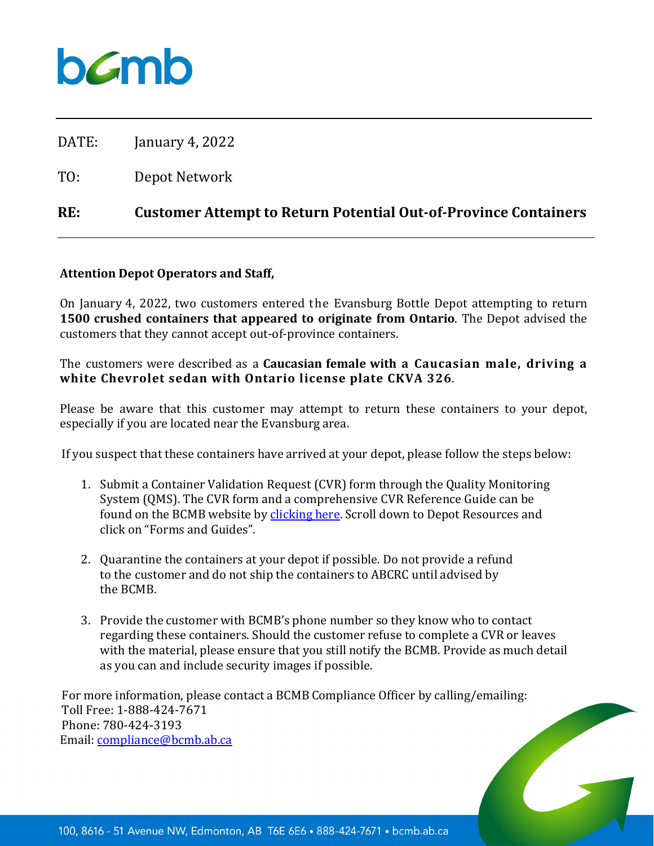

DATE: January 4, 2022

TO: Depot Network

## **RE: Customer Attempt to Return Potential Out-of-Province Containers**

## **Attention Depot Operators and Staff,**

On January 4, 2022, two customers entered the Evansburg Bottle Depot attempting to return **1500 crushed containers that appeared to originate from Ontario**. The Depot advised the customers that they cannot accept out-of-province containers.

The customers were described as a **Caucasian female with a Caucasian male, driving a white Chevrolet sedan with Ontario license plate CKVA 326**.

Please be aware that this customer may attempt to return these containers to your depot, especially if you are located near the Evansburg area.

If you suspect that these containers have arrived at your depot, please follow the steps below:

- 1. Submit a Container Validation Request (CVR) form through the Quality Monitoring System (QMS). The CVR form and a comprehensive CVR Reference Guide can be found on the BCMB website by [clicking](https://www.bcmb.ab.ca/depot-owners-operators/depot-logins-resources/) here. Scroll down to Depot Resources and click on "Forms and Guides".
- 2. Quarantine the containers at your depot if possible. Do not provide a refund to the customer and do not ship the containers to ABCRC until advised by the BCMB.
- 3. Provide the customer with BCMB's phone number so they know who to contact regarding these containers. Should the customer refuse to complete a CVR or leaves with the material, please ensure that you still notify the BCMB. Provide as much detail as you can and include security images if possible.

For more information, please contact a BCMB Compliance Officer by calling/emailing: Toll Free: 1-888-424-7671 Phone: 780-424-3193 Email: [compliance@bcmb.ab.ca](mailto:compliance@bcmb.ab.ca)